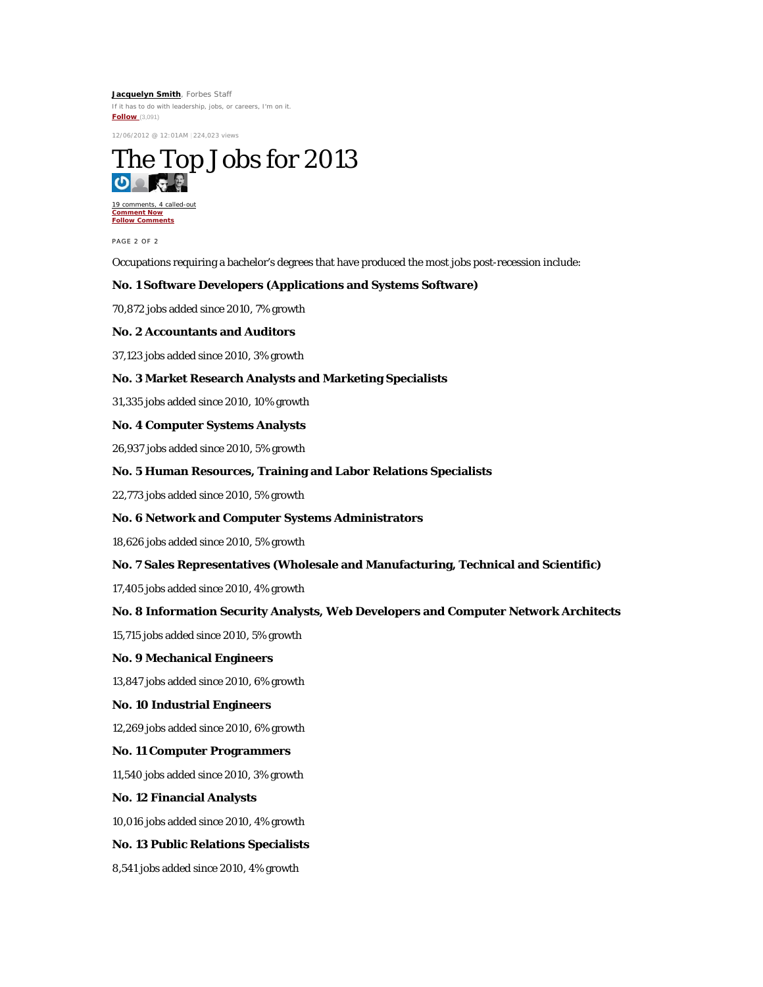**[Jacquelyn Smith](http://www.forbes.com/sites/jacquelynsmith/)**, Forbes Staff If it has to do with leadership, jobs, or careers, I'm on it. **[Follow](javascript://follow)** (3,091)

12/06/2012 @ 12:01AM |224,023 views



[19 comments, 4 called-out](http://www.forbes.com/sites/jacquelynsmith/2012/12/06/the-top-jobs-for-2013/2/#comments_header) **[Comment Now](http://www.forbes.com/sites/jacquelynsmith/2012/12/06/the-top-jobs-for-2013/2/#comment_reply) [Follow Comments](javascript://follow)**

PAGE 2 OF 2

Occupations requiring a bachelor's degrees that have produced the most jobs post-recession include:

## **No. 1 Software Developers (Applications and Systems Software)**

70,872 jobs added since 2010, 7% growth

#### **No. 2 Accountants and Auditors**

37,123 jobs added since 2010, 3% growth

## **No. 3 Market Research Analysts and Marketing Specialists**

31,335 jobs added since 2010, 10% growth

# **No. 4 Computer Systems Analysts**

26,937 jobs added since 2010, 5% growth

## **No. 5 Human Resources, Training and Labor Relations Specialists**

22,773 jobs added since 2010, 5% growth

#### **No. 6 Network and Computer Systems Administrators**

18,626 jobs added since 2010, 5% growth

#### **No. 7 Sales Representatives (Wholesale and Manufacturing, Technical and Scientific)**

17,405 jobs added since 2010, 4% growth

## **No. 8 Information Security Analysts, Web Developers and Computer Network Architects**

15,715 jobs added since 2010, 5% growth

## **No. 9 Mechanical Engineers**

13,847 jobs added since 2010, 6% growth

#### **No. 10 Industrial Engineers**

12,269 jobs added since 2010, 6% growth

#### **No. 11 Computer Programmers**

11,540 jobs added since 2010, 3% growth

#### **No. 12 Financial Analysts**

10,016 jobs added since 2010, 4% growth

#### **No. 13 Public Relations Specialists**

8,541 jobs added since 2010, 4% growth